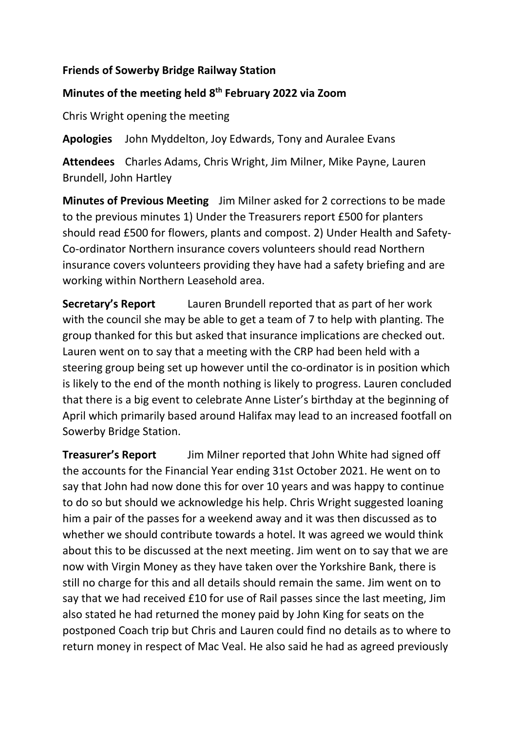## **Friends of Sowerby Bridge Railway Station**

## **Minutes of the meeting held 8 th February 2022 via Zoom**

Chris Wright opening the meeting

**Apologies** John Myddelton, Joy Edwards, Tony and Auralee Evans

**Attendees** Charles Adams, Chris Wright, Jim Milner, Mike Payne, Lauren Brundell, John Hartley

**Minutes of Previous Meeting** Jim Milner asked for 2 corrections to be made to the previous minutes 1) Under the Treasurers report £500 for planters should read £500 for flowers, plants and compost. 2) Under Health and Safety-Co-ordinator Northern insurance covers volunteers should read Northern insurance covers volunteers providing they have had a safety briefing and are working within Northern Leasehold area.

**Secretary's Report** Lauren Brundell reported that as part of her work with the council she may be able to get a team of 7 to help with planting. The group thanked for this but asked that insurance implications are checked out. Lauren went on to say that a meeting with the CRP had been held with a steering group being set up however until the co-ordinator is in position which is likely to the end of the month nothing is likely to progress. Lauren concluded that there is a big event to celebrate Anne Lister's birthday at the beginning of April which primarily based around Halifax may lead to an increased footfall on Sowerby Bridge Station.

**Treasurer's Report** Jim Milner reported that John White had signed off the accounts for the Financial Year ending 31st October 2021. He went on to say that John had now done this for over 10 years and was happy to continue to do so but should we acknowledge his help. Chris Wright suggested loaning him a pair of the passes for a weekend away and it was then discussed as to whether we should contribute towards a hotel. It was agreed we would think about this to be discussed at the next meeting. Jim went on to say that we are now with Virgin Money as they have taken over the Yorkshire Bank, there is still no charge for this and all details should remain the same. Jim went on to say that we had received £10 for use of Rail passes since the last meeting, Jim also stated he had returned the money paid by John King for seats on the postponed Coach trip but Chris and Lauren could find no details as to where to return money in respect of Mac Veal. He also said he had as agreed previously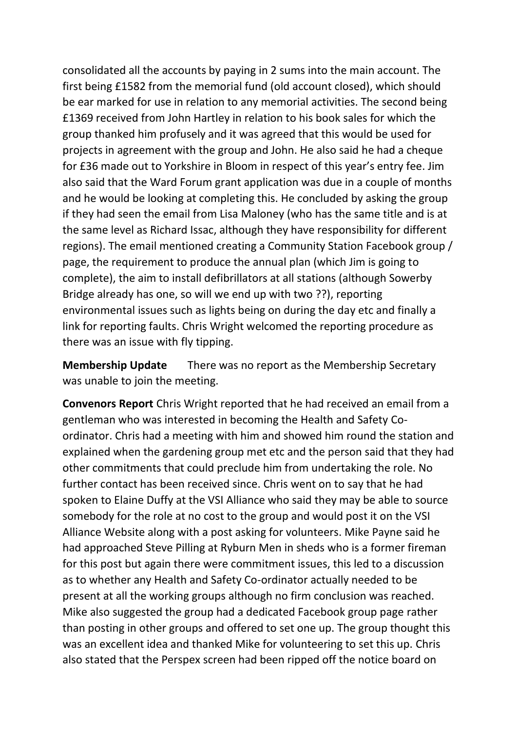consolidated all the accounts by paying in 2 sums into the main account. The first being £1582 from the memorial fund (old account closed), which should be ear marked for use in relation to any memorial activities. The second being £1369 received from John Hartley in relation to his book sales for which the group thanked him profusely and it was agreed that this would be used for projects in agreement with the group and John. He also said he had a cheque for £36 made out to Yorkshire in Bloom in respect of this year's entry fee. Jim also said that the Ward Forum grant application was due in a couple of months and he would be looking at completing this. He concluded by asking the group if they had seen the email from Lisa Maloney (who has the same title and is at the same level as Richard Issac, although they have responsibility for different regions). The email mentioned creating a Community Station Facebook group / page, the requirement to produce the annual plan (which Jim is going to complete), the aim to install defibrillators at all stations (although Sowerby Bridge already has one, so will we end up with two ??), reporting environmental issues such as lights being on during the day etc and finally a link for reporting faults. Chris Wright welcomed the reporting procedure as there was an issue with fly tipping.

**Membership Update** There was no report as the Membership Secretary was unable to join the meeting.

**Convenors Report** Chris Wright reported that he had received an email from a gentleman who was interested in becoming the Health and Safety Coordinator. Chris had a meeting with him and showed him round the station and explained when the gardening group met etc and the person said that they had other commitments that could preclude him from undertaking the role. No further contact has been received since. Chris went on to say that he had spoken to Elaine Duffy at the VSI Alliance who said they may be able to source somebody for the role at no cost to the group and would post it on the VSI Alliance Website along with a post asking for volunteers. Mike Payne said he had approached Steve Pilling at Ryburn Men in sheds who is a former fireman for this post but again there were commitment issues, this led to a discussion as to whether any Health and Safety Co-ordinator actually needed to be present at all the working groups although no firm conclusion was reached. Mike also suggested the group had a dedicated Facebook group page rather than posting in other groups and offered to set one up. The group thought this was an excellent idea and thanked Mike for volunteering to set this up. Chris also stated that the Perspex screen had been ripped off the notice board on